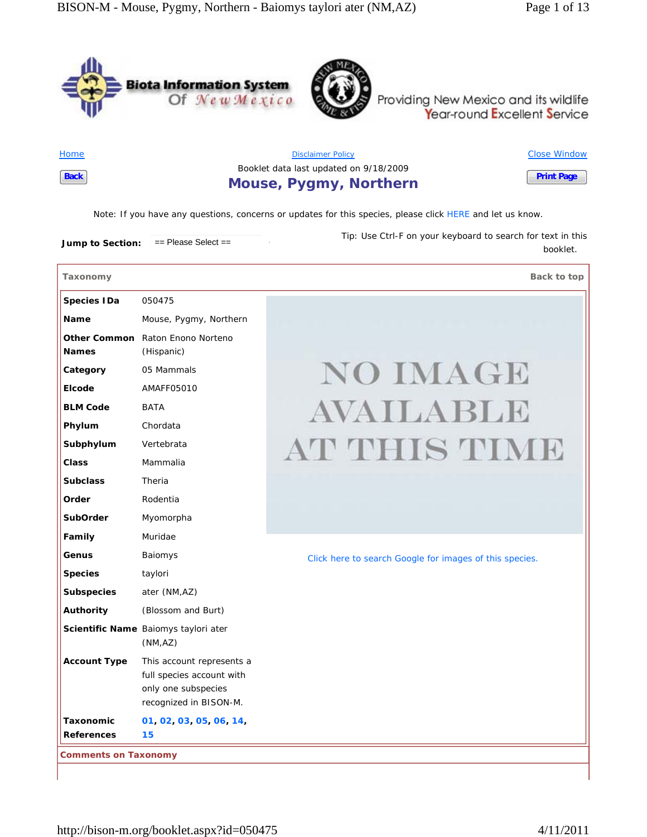booklet.





Providing New Mexico and its wildlife<br>Year-round Excellent Service

**Ho** 

| Back<br>the contract of the con- | <b>Mouse, Pygmy, Northern</b>          | <b>Print Page</b>   |
|----------------------------------|----------------------------------------|---------------------|
|                                  | Booklet data last updated on 9/18/2009 |                     |
| <b>Home</b>                      | <b>Disclaimer Policy</b>               | <b>Close Window</b> |

*Note*: If you have any questions, concerns or updates for this species, please click HERE and let us know.

**Jump to Section:**  $=$  Please Select == *Tip*: Use Ctrl-F on your keyboard to search for text in this

**Taxonomy Back to top Species IDa** 050475 **Name** Mouse, Pygmy, Northern **Other Common**  Raton Enono Norteno **Names** (Hispanic) **NO IMAGE Category** 05 Mammals **Elcode** AMAFF05010 AVAILABLE **BLM Code** BATA **Phylum** Chordata AT THIS TIME **Subphylum** Vertebrata **Class** Mammalia **Subclass** Theria **Order** Rodentia **SubOrder** Myomorpha **Family** Muridae **Genus** Baiomys Click here to search Google for images of this species. Species taylori **Subspecies** ater (NM,AZ) **Authority** (Blossom and Burt) **Scientific Name** Baiomys taylori ater (NM,AZ) **Account Type** This account represents a full species account with only one subspecies recognized in BISON-M. **Taxonomic 01, 02, 03, 05, 06, 14, References 15 Comments on Taxonomy**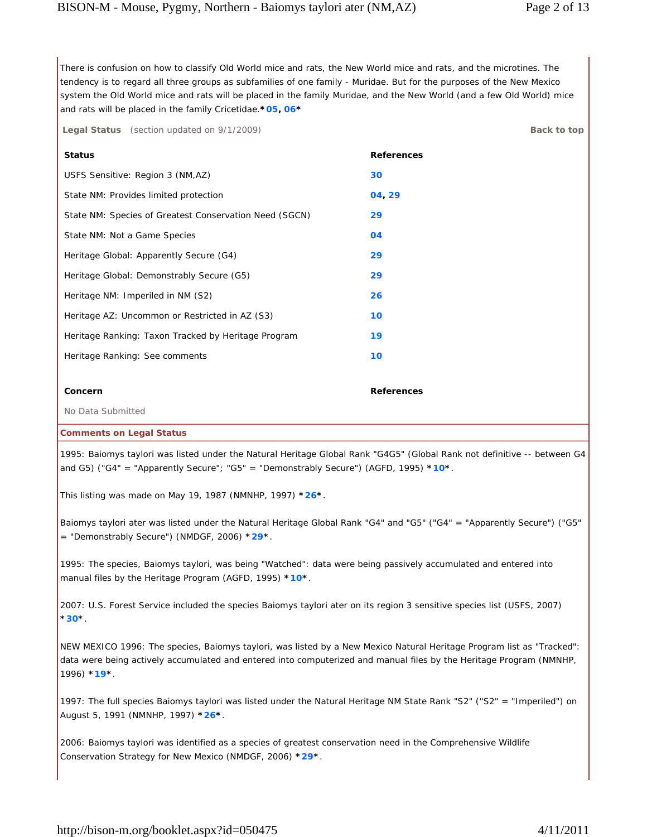There is confusion on how to classify Old World mice and rats, the New World mice and rats, and the microtines. The tendency is to regard all three groups as subfamilies of one family - Muridae. But for the purposes of the New Mexico system the Old World mice and rats will be placed in the family Muridae, and the New World (and a few Old World) mice and rats will be placed in the family Cricetidae.**\*05, 06\***

| <b>Legal Status</b> (section updated on 9/1/2009) | Back to top |
|---------------------------------------------------|-------------|
|                                                   |             |

| <b>Status</b>                                          | <b>References</b> |
|--------------------------------------------------------|-------------------|
| USFS Sensitive: Region 3 (NM,AZ)                       | 30                |
| State NM: Provides limited protection                  | 04, 29            |
| State NM: Species of Greatest Conservation Need (SGCN) | 29                |
| State NM: Not a Game Species                           | 04                |
| Heritage Global: Apparently Secure (G4)                | 29                |
| Heritage Global: Demonstrably Secure (G5)              | 29                |
| Heritage NM: Imperiled in NM (S2)                      | 26                |
| Heritage AZ: Uncommon or Restricted in AZ (S3)         | 10                |
| Heritage Ranking: Taxon Tracked by Heritage Program    | 19                |
| Heritage Ranking: See comments                         | 10                |
|                                                        |                   |
| Concern                                                | <b>References</b> |
| No Data Submitted                                      |                   |

#### **Comments on Legal Status**

1995: Baiomys taylori was listed under the Natural Heritage Global Rank "G4G5" (Global Rank not definitive -- between G4 and G5) ("G4" = "Apparently Secure"; "G5" = "Demonstrably Secure") (AGFD, 1995) **\*10\***.

This listing was made on May 19, 1987 (NMNHP, 1997) **\*26\***.

Baiomys taylori ater was listed under the Natural Heritage Global Rank "G4" and "G5" ("G4" = "Apparently Secure") ("G5" = "Demonstrably Secure") (NMDGF, 2006) **\*29\***.

1995: The species, Baiomys taylori, was being "Watched": data were being passively accumulated and entered into manual files by the Heritage Program (AGFD, 1995) **\*10\***.

2007: U.S. Forest Service included the species Baiomys taylori ater on its region 3 sensitive species list (USFS, 2007) **\*30\***.

NEW MEXICO 1996: The species, Baiomys taylori, was listed by a New Mexico Natural Heritage Program list as "Tracked": data were being actively accumulated and entered into computerized and manual files by the Heritage Program (NMNHP, 1996) **\*19\***.

1997: The full species Baiomys taylori was listed under the Natural Heritage NM State Rank "S2" ("S2" = "Imperiled") on August 5, 1991 (NMNHP, 1997) **\*26\***.

2006: Baiomys taylori was identified as a species of greatest conservation need in the Comprehensive Wildlife Conservation Strategy for New Mexico (NMDGF, 2006) **\*29\***.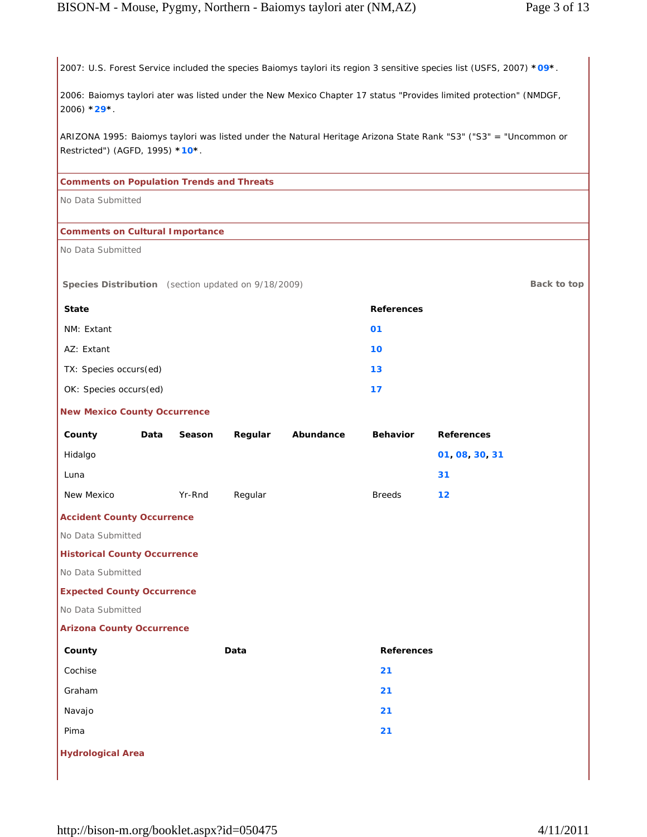2007: U.S. Forest Service included the species Baiomys taylori its region 3 sensitive species list (USFS, 2007) **\*09\***.

2006: Baiomys taylori ater was listed under the New Mexico Chapter 17 status "Provides limited protection" (NMDGF, 2006) **\*29\***.

ARIZONA 1995: Baiomys taylori was listed under the Natural Heritage Arizona State Rank "S3" ("S3" = "Uncommon or Restricted") (AGFD, 1995) **\*10\***.

## **Comments on Population Trends and Threats**

No Data Submitted

#### **Comments on Cultural Importance**

No Data Submitted

**Species Distribution** (section updated on  $9/18/2009$ ) **Back to top** 

| <b>State</b>           | References |
|------------------------|------------|
| NM: Extant             | 01         |
| AZ: Extant             | 10         |
| TX: Species occurs(ed) | 13         |
| OK: Species occurs(ed) | 17         |

#### **New Mexico County Occurrence**

| County     | Data | Season | Regular | Abundance | <b>Behavior</b> | <b>References</b> |
|------------|------|--------|---------|-----------|-----------------|-------------------|
| Hidalgo    |      |        |         |           |                 | 01 08 30 31       |
| Luna       |      |        |         |           |                 | 31                |
| New Mexico |      | Yr-Rnd | Regular |           | <b>Breeds</b>   | 12                |

## **Accident County Occurrence**

No Data Submitted

#### **Historical County Occurrence**

No Data Submitted

## **Expected County Occurrence**

No Data Submitted

**Hydrological Area**

## **Arizona County Occurrence**

| County  | Data | <b>References</b> |
|---------|------|-------------------|
| Cochise |      | 21                |
| Graham  |      | 21                |
| Navajo  |      | 21                |
| Pima    |      | 21                |
|         |      |                   |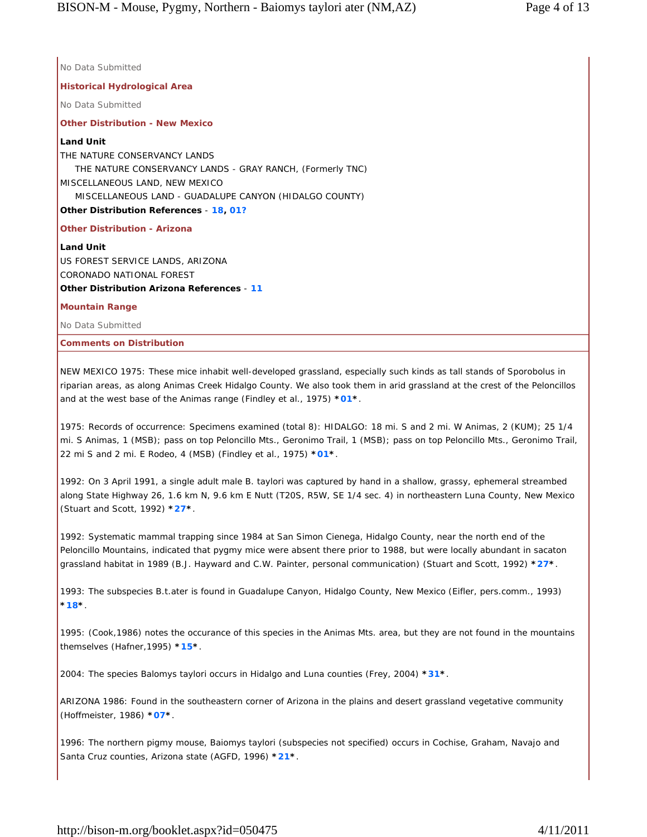**Historical Hydrological Area** No Data Submitted **Other Distribution - New Mexico Land Unit** THE NATURE CONSERVANCY LANDS THE NATURE CONSERVANCY LANDS - GRAY RANCH, (Formerly TNC) MISCELLANEOUS LAND, NEW MEXICO MISCELLANEOUS LAND - GUADALUPE CANYON (HIDALGO COUNTY) **Other Distribution References** - **18, 01? Other Distribution - Arizona**

**Land Unit** US FOREST SERVICE LANDS, ARIZONA CORONADO NATIONAL FOREST **Other Distribution Arizona References** - **11**

**Mountain Range**

No Data Submitted

No Data Submitted

**Comments on Distribution**

NEW MEXICO 1975: These mice inhabit well-developed grassland, especially such kinds as tall stands of Sporobolus in riparian areas, as along Animas Creek Hidalgo County. We also took them in arid grassland at the crest of the Peloncillos and at the west base of the Animas range (Findley et al., 1975) **\*01\***.

1975: Records of occurrence: Specimens examined (total 8): HIDALGO: 18 mi. S and 2 mi. W Animas, 2 (KUM); 25 1/4 mi. S Animas, 1 (MSB); pass on top Peloncillo Mts., Geronimo Trail, 1 (MSB); pass on top Peloncillo Mts., Geronimo Trail, 22 mi S and 2 mi. E Rodeo, 4 (MSB) (Findley et al., 1975) **\*01\***.

1992: On 3 April 1991, a single adult male B. taylori was captured by hand in a shallow, grassy, ephemeral streambed along State Highway 26, 1.6 km N, 9.6 km E Nutt (T20S, R5W, SE 1/4 sec. 4) in northeastern Luna County, New Mexico (Stuart and Scott, 1992) **\*27\***.

1992: Systematic mammal trapping since 1984 at San Simon Cienega, Hidalgo County, near the north end of the Peloncillo Mountains, indicated that pygmy mice were absent there prior to 1988, but were locally abundant in sacaton grassland habitat in 1989 (B.J. Hayward and C.W. Painter, personal communication) (Stuart and Scott, 1992) **\*27\***.

1993: The subspecies B.t.ater is found in Guadalupe Canyon, Hidalgo County, New Mexico (Eifler, pers.comm., 1993) **\*18\***.

1995: (Cook,1986) notes the occurance of this species in the Animas Mts. area, but they are not found in the mountains themselves (Hafner,1995) **\*15\***.

2004: The species Balomys taylori occurs in Hidalgo and Luna counties (Frey, 2004) **\*31\***.

ARIZONA 1986: Found in the southeastern corner of Arizona in the plains and desert grassland vegetative community (Hoffmeister, 1986) **\*07\***.

1996: The northern pigmy mouse, Baiomys taylori (subspecies not specified) occurs in Cochise, Graham, Navajo and Santa Cruz counties, Arizona state (AGFD, 1996) **\*21\***.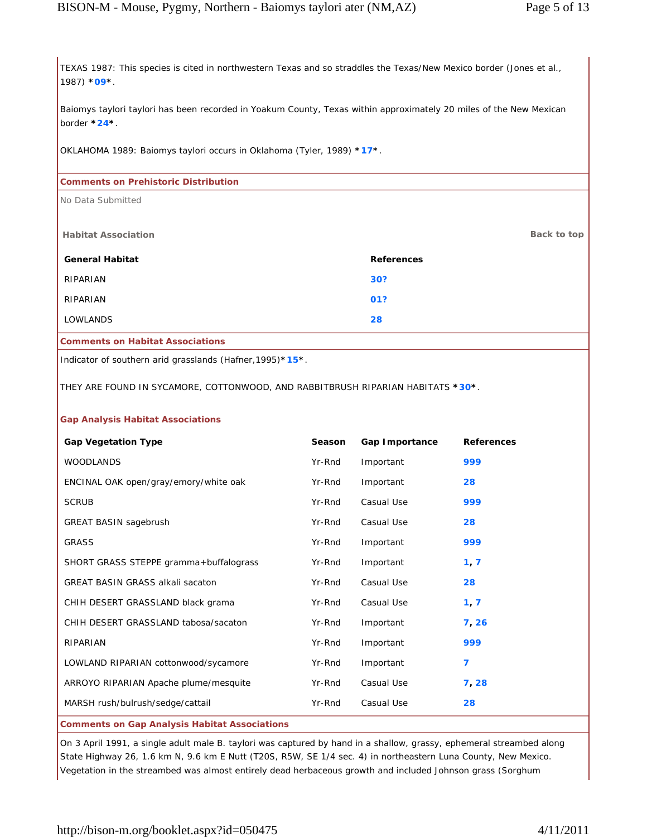TEXAS 1987: This species is cited in northwestern Texas and so straddles the Texas/New Mexico border (Jones et al., 1987) **\*09\***.

Baiomys taylori taylori has been recorded in Yoakum County, Texas within approximately 20 miles of the New Mexican border **\*24\***.

OKLAHOMA 1989: Baiomys taylori occurs in Oklahoma (Tyler, 1989) **\*17\***.

## **Comments on Prehistoric Distribution**

No Data Submitted

| <b>Habitat Association</b>              |                   | Back to top |
|-----------------------------------------|-------------------|-------------|
| <b>General Habitat</b>                  | <b>References</b> |             |
| RIPARIAN                                | 30?               |             |
| RIPARIAN                                | 01?               |             |
| <b>LOWLANDS</b>                         | 28                |             |
| <b>Comments on Habitat Associations</b> |                   |             |

Indicator of southern arid grasslands (Hafner,1995)**\*15\***.

THEY ARE FOUND IN SYCAMORE, COTTONWOOD, AND RABBITBRUSH RIPARIAN HABITATS **\*30\***.

## **Gap Analysis Habitat Associations**

| <b>Gap Vegetation Type</b>                           | Season | Gap Importance | <b>References</b> |
|------------------------------------------------------|--------|----------------|-------------------|
| <b>WOODLANDS</b>                                     | Yr-Rnd | Important      | 999               |
| ENCINAL OAK open/gray/emory/white oak                | Yr-Rnd | Important      | 28                |
| <b>SCRUB</b>                                         | Yr-Rnd | Casual Use     | 999               |
| <b>GREAT BASIN sagebrush</b>                         | Yr-Rnd | Casual Use     | 28                |
| <b>GRASS</b>                                         | Yr-Rnd | Important      | 999               |
| SHORT GRASS STEPPE gramma+buffalograss               | Yr-Rnd | Important      | 1, 7              |
| <b>GREAT BASIN GRASS alkali sacaton</b>              | Yr-Rnd | Casual Use     | 28                |
| CHIH DESERT GRASSLAND black grama                    | Yr-Rnd | Casual Use     | 1, 7              |
| CHIH DESERT GRASSLAND tabosa/sacaton                 | Yr-Rnd | Important      | 7, 26             |
| RIPARIAN                                             | Yr-Rnd | Important      | 999               |
| LOWLAND RIPARIAN cottonwood/sycamore                 | Yr-Rnd | Important      | 7                 |
| ARROYO RIPARIAN Apache plume/mesquite                | Yr-Rnd | Casual Use     | 7, 28             |
| MARSH rush/bulrush/sedge/cattail                     | Yr-Rnd | Casual Use     | 28                |
| <b>Comments on Gap Analysis Habitat Associations</b> |        |                |                   |

On 3 April 1991, a single adult male B. taylori was captured by hand in a shallow, grassy, ephemeral streambed along State Highway 26, 1.6 km N, 9.6 km E Nutt (T20S, R5W, SE 1/4 sec. 4) in northeastern Luna County, New Mexico. Vegetation in the streambed was almost entirely dead herbaceous growth and included Johnson grass (Sorghum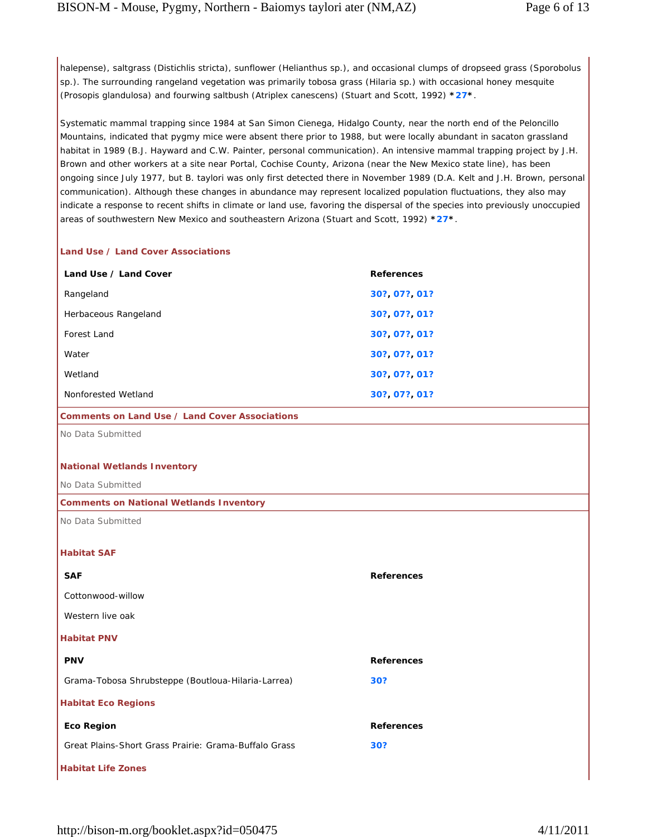halepense), saltgrass (Distichlis stricta), sunflower (Helianthus sp.), and occasional clumps of dropseed grass (Sporobolus sp.). The surrounding rangeland vegetation was primarily tobosa grass (Hilaria sp.) with occasional honey mesquite (Prosopis glandulosa) and fourwing saltbush (Atriplex canescens) (Stuart and Scott, 1992) **\*27\***.

Systematic mammal trapping since 1984 at San Simon Cienega, Hidalgo County, near the north end of the Peloncillo Mountains, indicated that pygmy mice were absent there prior to 1988, but were locally abundant in sacaton grassland habitat in 1989 (B.J. Hayward and C.W. Painter, personal communication). An intensive mammal trapping project by J.H. Brown and other workers at a site near Portal, Cochise County, Arizona (near the New Mexico state line), has been ongoing since July 1977, but B. taylori was only first detected there in November 1989 (D.A. Kelt and J.H. Brown, personal communication). Although these changes in abundance may represent localized population fluctuations, they also may indicate a response to recent shifts in climate or land use, favoring the dispersal of the species into previously unoccupied areas of southwestern New Mexico and southeastern Arizona (Stuart and Scott, 1992) **\*27\***.

## **Land Use / Land Cover Associations**

| Land Use / Land Cover | <b>References</b> |
|-----------------------|-------------------|
| Rangeland             | 30? 07? 01?       |
| Herbaceous Rangeland  | 30? 07? 01?       |
| Forest Land           | 30? 07? 01?       |
| Water                 | 30? 07? 01?       |
| Wetland               | 30? 07? 01?       |
| Nonforested Wetland   | 30? 07? 01?       |

## **Comments on Land Use / Land Cover Associations**

No Data Submitted

#### **National Wetlands Inventory**

No Data Submitted

#### **Comments on National Wetlands Inventory**

No Data Submitted

## **Habitat SAF**

| <b>SAF</b>                                            | <b>References</b> |
|-------------------------------------------------------|-------------------|
| Cottonwood-willow                                     |                   |
| Western live oak                                      |                   |
| <b>Habitat PNV</b>                                    |                   |
| <b>PNV</b>                                            | <b>References</b> |
| Grama-Tobosa Shrubsteppe (Boutloua-Hilaria-Larrea)    | 30?               |
| <b>Habitat Eco Regions</b>                            |                   |
| <b>Eco Region</b>                                     | <b>References</b> |
| Great Plains-Short Grass Prairie: Grama-Buffalo Grass | 30?               |
| <b>Habitat Life Zones</b>                             |                   |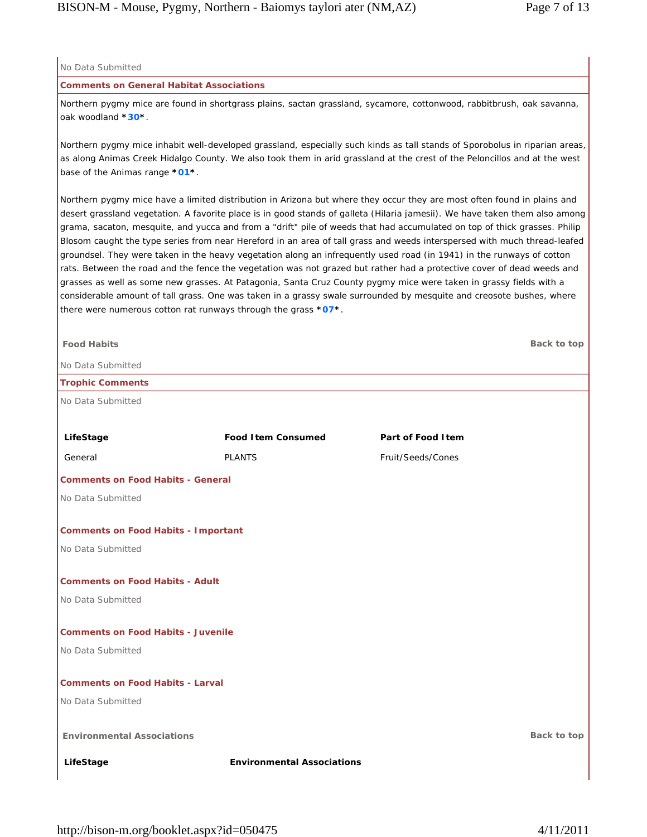| No Data Submitted                                                                                                                           |                                                                  |                                                                                                                                                                                                                                                                                                                                                                                                                                                                                                                                                                                                                                                                                                                                                                                                                                                                                                                                                                                                                  |
|---------------------------------------------------------------------------------------------------------------------------------------------|------------------------------------------------------------------|------------------------------------------------------------------------------------------------------------------------------------------------------------------------------------------------------------------------------------------------------------------------------------------------------------------------------------------------------------------------------------------------------------------------------------------------------------------------------------------------------------------------------------------------------------------------------------------------------------------------------------------------------------------------------------------------------------------------------------------------------------------------------------------------------------------------------------------------------------------------------------------------------------------------------------------------------------------------------------------------------------------|
| <b>Comments on General Habitat Associations</b>                                                                                             |                                                                  |                                                                                                                                                                                                                                                                                                                                                                                                                                                                                                                                                                                                                                                                                                                                                                                                                                                                                                                                                                                                                  |
| Northern pygmy mice are found in shortgrass plains, sactan grassland, sycamore, cottonwood, rabbitbrush, oak savanna,<br>oak woodland *30*. |                                                                  |                                                                                                                                                                                                                                                                                                                                                                                                                                                                                                                                                                                                                                                                                                                                                                                                                                                                                                                                                                                                                  |
| base of the Animas range *01*.                                                                                                              |                                                                  | Northern pygmy mice inhabit well-developed grassland, especially such kinds as tall stands of Sporobolus in riparian areas,<br>as along Animas Creek Hidalgo County. We also took them in arid grassland at the crest of the Peloncillos and at the west                                                                                                                                                                                                                                                                                                                                                                                                                                                                                                                                                                                                                                                                                                                                                         |
|                                                                                                                                             | there were numerous cotton rat runways through the grass $*07*.$ | Northern pygmy mice have a limited distribution in Arizona but where they occur they are most often found in plains and<br>desert grassland vegetation. A favorite place is in good stands of galleta (Hilaria jamesii). We have taken them also among<br>grama, sacaton, mesquite, and yucca and from a "drift" pile of weeds that had accumulated on top of thick grasses. Philip<br>Blosom caught the type series from near Hereford in an area of tall grass and weeds interspersed with much thread-leafed<br>groundsel. They were taken in the heavy vegetation along an infrequently used road (in 1941) in the runways of cotton<br>rats. Between the road and the fence the vegetation was not grazed but rather had a protective cover of dead weeds and<br>grasses as well as some new grasses. At Patagonia, Santa Cruz County pygmy mice were taken in grassy fields with a<br>considerable amount of tall grass. One was taken in a grassy swale surrounded by mesquite and creosote bushes, where |
| <b>Food Habits</b><br>No Data Submitted                                                                                                     |                                                                  | Back to top                                                                                                                                                                                                                                                                                                                                                                                                                                                                                                                                                                                                                                                                                                                                                                                                                                                                                                                                                                                                      |
| <b>Trophic Comments</b>                                                                                                                     |                                                                  |                                                                                                                                                                                                                                                                                                                                                                                                                                                                                                                                                                                                                                                                                                                                                                                                                                                                                                                                                                                                                  |
| No Data Submitted                                                                                                                           |                                                                  |                                                                                                                                                                                                                                                                                                                                                                                                                                                                                                                                                                                                                                                                                                                                                                                                                                                                                                                                                                                                                  |
|                                                                                                                                             |                                                                  |                                                                                                                                                                                                                                                                                                                                                                                                                                                                                                                                                                                                                                                                                                                                                                                                                                                                                                                                                                                                                  |
| LifeStage                                                                                                                                   | <b>Food Item Consumed</b>                                        | Part of Food I tem                                                                                                                                                                                                                                                                                                                                                                                                                                                                                                                                                                                                                                                                                                                                                                                                                                                                                                                                                                                               |
| General                                                                                                                                     | <b>PLANTS</b>                                                    | Fruit/Seeds/Cones                                                                                                                                                                                                                                                                                                                                                                                                                                                                                                                                                                                                                                                                                                                                                                                                                                                                                                                                                                                                |
| <b>Comments on Food Habits - General</b>                                                                                                    |                                                                  |                                                                                                                                                                                                                                                                                                                                                                                                                                                                                                                                                                                                                                                                                                                                                                                                                                                                                                                                                                                                                  |
| No Data Submitted                                                                                                                           |                                                                  |                                                                                                                                                                                                                                                                                                                                                                                                                                                                                                                                                                                                                                                                                                                                                                                                                                                                                                                                                                                                                  |
| <b>Comments on Food Habits - Important</b>                                                                                                  |                                                                  |                                                                                                                                                                                                                                                                                                                                                                                                                                                                                                                                                                                                                                                                                                                                                                                                                                                                                                                                                                                                                  |
| No Data Submitted                                                                                                                           |                                                                  |                                                                                                                                                                                                                                                                                                                                                                                                                                                                                                                                                                                                                                                                                                                                                                                                                                                                                                                                                                                                                  |
| <b>Comments on Food Habits - Adult</b>                                                                                                      |                                                                  |                                                                                                                                                                                                                                                                                                                                                                                                                                                                                                                                                                                                                                                                                                                                                                                                                                                                                                                                                                                                                  |
| No Data Submitted                                                                                                                           |                                                                  |                                                                                                                                                                                                                                                                                                                                                                                                                                                                                                                                                                                                                                                                                                                                                                                                                                                                                                                                                                                                                  |
|                                                                                                                                             |                                                                  |                                                                                                                                                                                                                                                                                                                                                                                                                                                                                                                                                                                                                                                                                                                                                                                                                                                                                                                                                                                                                  |
| <b>Comments on Food Habits - Juvenile</b>                                                                                                   |                                                                  |                                                                                                                                                                                                                                                                                                                                                                                                                                                                                                                                                                                                                                                                                                                                                                                                                                                                                                                                                                                                                  |
| No Data Submitted                                                                                                                           |                                                                  |                                                                                                                                                                                                                                                                                                                                                                                                                                                                                                                                                                                                                                                                                                                                                                                                                                                                                                                                                                                                                  |
| <b>Comments on Food Habits - Larval</b>                                                                                                     |                                                                  |                                                                                                                                                                                                                                                                                                                                                                                                                                                                                                                                                                                                                                                                                                                                                                                                                                                                                                                                                                                                                  |
| No Data Submitted                                                                                                                           |                                                                  |                                                                                                                                                                                                                                                                                                                                                                                                                                                                                                                                                                                                                                                                                                                                                                                                                                                                                                                                                                                                                  |
| <b>Environmental Associations</b>                                                                                                           |                                                                  | Back to top                                                                                                                                                                                                                                                                                                                                                                                                                                                                                                                                                                                                                                                                                                                                                                                                                                                                                                                                                                                                      |
| LifeStage                                                                                                                                   | <b>Environmental Associations</b>                                |                                                                                                                                                                                                                                                                                                                                                                                                                                                                                                                                                                                                                                                                                                                                                                                                                                                                                                                                                                                                                  |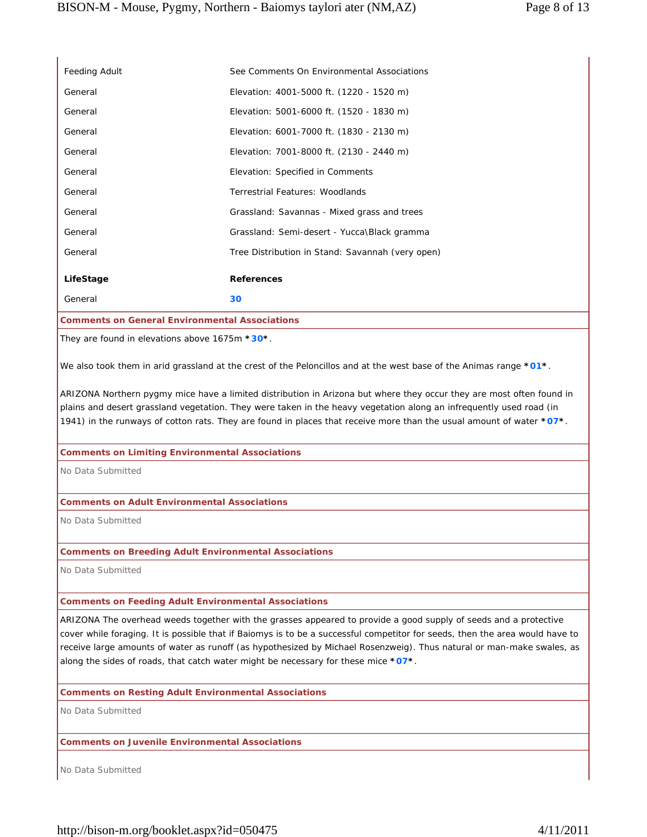| Feeding Adult                                                | See Comments On Environmental Associations                                                                                                                                                                                                                                                                                                                                                                                                                      |
|--------------------------------------------------------------|-----------------------------------------------------------------------------------------------------------------------------------------------------------------------------------------------------------------------------------------------------------------------------------------------------------------------------------------------------------------------------------------------------------------------------------------------------------------|
| General                                                      | Elevation: 4001-5000 ft. (1220 - 1520 m)                                                                                                                                                                                                                                                                                                                                                                                                                        |
| General                                                      | Elevation: 5001-6000 ft. (1520 - 1830 m)                                                                                                                                                                                                                                                                                                                                                                                                                        |
| General                                                      | Elevation: 6001-7000 ft. (1830 - 2130 m)                                                                                                                                                                                                                                                                                                                                                                                                                        |
| General                                                      | Elevation: 7001-8000 ft. (2130 - 2440 m)                                                                                                                                                                                                                                                                                                                                                                                                                        |
| General                                                      | Elevation: Specified in Comments                                                                                                                                                                                                                                                                                                                                                                                                                                |
| General                                                      | Terrestrial Features: Woodlands                                                                                                                                                                                                                                                                                                                                                                                                                                 |
| General                                                      | Grassland: Savannas - Mixed grass and trees                                                                                                                                                                                                                                                                                                                                                                                                                     |
| General                                                      | Grassland: Semi-desert - Yucca\Black gramma                                                                                                                                                                                                                                                                                                                                                                                                                     |
| General                                                      | Tree Distribution in Stand: Savannah (very open)                                                                                                                                                                                                                                                                                                                                                                                                                |
| LifeStage                                                    | <b>References</b>                                                                                                                                                                                                                                                                                                                                                                                                                                               |
| General                                                      | 30                                                                                                                                                                                                                                                                                                                                                                                                                                                              |
| <b>Comments on General Environmental Associations</b>        |                                                                                                                                                                                                                                                                                                                                                                                                                                                                 |
| They are found in elevations above $1675m * 30*$ .           |                                                                                                                                                                                                                                                                                                                                                                                                                                                                 |
|                                                              | We also took them in arid grassland at the crest of the Peloncillos and at the west base of the Animas range *01*.                                                                                                                                                                                                                                                                                                                                              |
|                                                              | ARIZONA Northern pygmy mice have a limited distribution in Arizona but where they occur they are most often found in<br>plains and desert grassland vegetation. They were taken in the heavy vegetation along an infrequently used road (in<br>1941) in the runways of cotton rats. They are found in places that receive more than the usual amount of water *07*.                                                                                             |
| <b>Comments on Limiting Environmental Associations</b>       |                                                                                                                                                                                                                                                                                                                                                                                                                                                                 |
| No Data Submitted                                            |                                                                                                                                                                                                                                                                                                                                                                                                                                                                 |
| <b>Comments on Adult Environmental Associations</b>          |                                                                                                                                                                                                                                                                                                                                                                                                                                                                 |
| No Data Submitted                                            |                                                                                                                                                                                                                                                                                                                                                                                                                                                                 |
| <b>Comments on Breeding Adult Environmental Associations</b> |                                                                                                                                                                                                                                                                                                                                                                                                                                                                 |
| No Data Submitted                                            |                                                                                                                                                                                                                                                                                                                                                                                                                                                                 |
| <b>Comments on Feeding Adult Environmental Associations</b>  |                                                                                                                                                                                                                                                                                                                                                                                                                                                                 |
|                                                              | ARIZONA The overhead weeds together with the grasses appeared to provide a good supply of seeds and a protective<br>cover while foraging. It is possible that if Baiomys is to be a successful competitor for seeds, then the area would have to<br>receive large amounts of water as runoff (as hypothesized by Michael Rosenzweig). Thus natural or man-make swales, as<br>along the sides of roads, that catch water might be necessary for these mice *07*. |
| <b>Comments on Resting Adult Environmental Associations</b>  |                                                                                                                                                                                                                                                                                                                                                                                                                                                                 |
| No Data Submitted                                            |                                                                                                                                                                                                                                                                                                                                                                                                                                                                 |
| <b>Comments on Juvenile Environmental Associations</b>       |                                                                                                                                                                                                                                                                                                                                                                                                                                                                 |
| No Data Submitted                                            |                                                                                                                                                                                                                                                                                                                                                                                                                                                                 |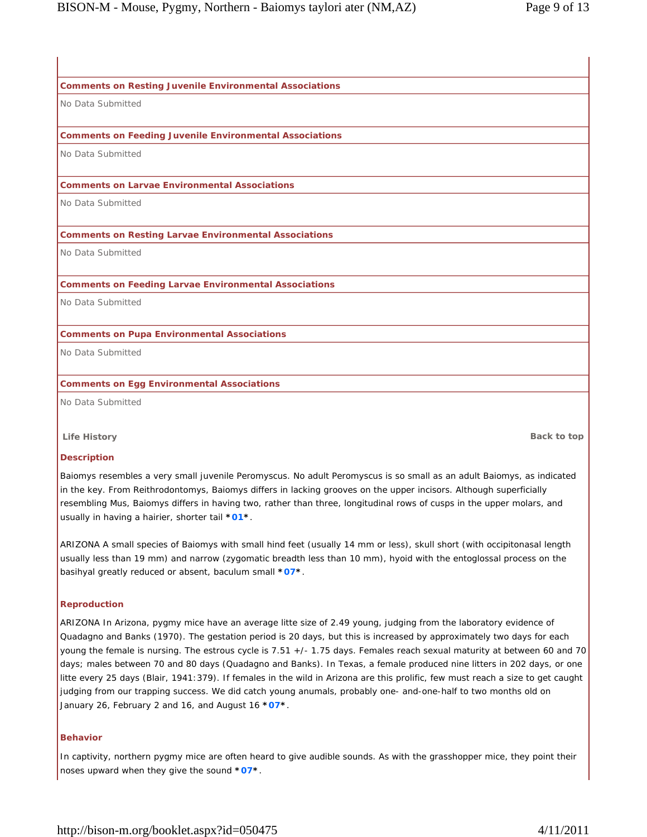**Comments on Resting Juvenile Environmental Associations**

# **Comments on Feeding Juvenile Environmental Associations** No Data Submitted **Comments on Larvae Environmental Associations** No Data Submitted **Comments on Resting Larvae Environmental Associations** No Data Submitted **Comments on Feeding Larvae Environmental Associations** No Data Submitted **Comments on Pupa Environmental Associations**

No Data Submitted

No Data Submitted

**Comments on Egg Environmental Associations**

No Data Submitted

**Life History Back to top**

## **Description**

Baiomys resembles a very small juvenile Peromyscus. No adult Peromyscus is so small as an adult Baiomys, as indicated in the key. From Reithrodontomys, Baiomys differs in lacking grooves on the upper incisors. Although superficially resembling Mus, Baiomys differs in having two, rather than three, longitudinal rows of cusps in the upper molars, and usually in having a hairier, shorter tail **\*01\***.

ARIZONA A small species of Baiomys with small hind feet (usually 14 mm or less), skull short (with occipitonasal length usually less than 19 mm) and narrow (zygomatic breadth less than 10 mm), hyoid with the entoglossal process on the basihyal greatly reduced or absent, baculum small **\*07\***.

## **Reproduction**

ARIZONA In Arizona, pygmy mice have an average litte size of 2.49 young, judging from the laboratory evidence of Quadagno and Banks (1970). The gestation period is 20 days, but this is increased by approximately two days for each young the female is nursing. The estrous cycle is 7.51 +/- 1.75 days. Females reach sexual maturity at between 60 and 70 days; males between 70 and 80 days (Quadagno and Banks). In Texas, a female produced nine litters in 202 days, or one litte every 25 days (Blair, 1941:379). If females in the wild in Arizona are this prolific, few must reach a size to get caught judging from our trapping success. We did catch young anumals, probably one- and-one-half to two months old on January 26, February 2 and 16, and August 16 **\*07\***.

#### **Behavior**

In captivity, northern pygmy mice are often heard to give audible sounds. As with the grasshopper mice, they point their noses upward when they give the sound **\*07\***.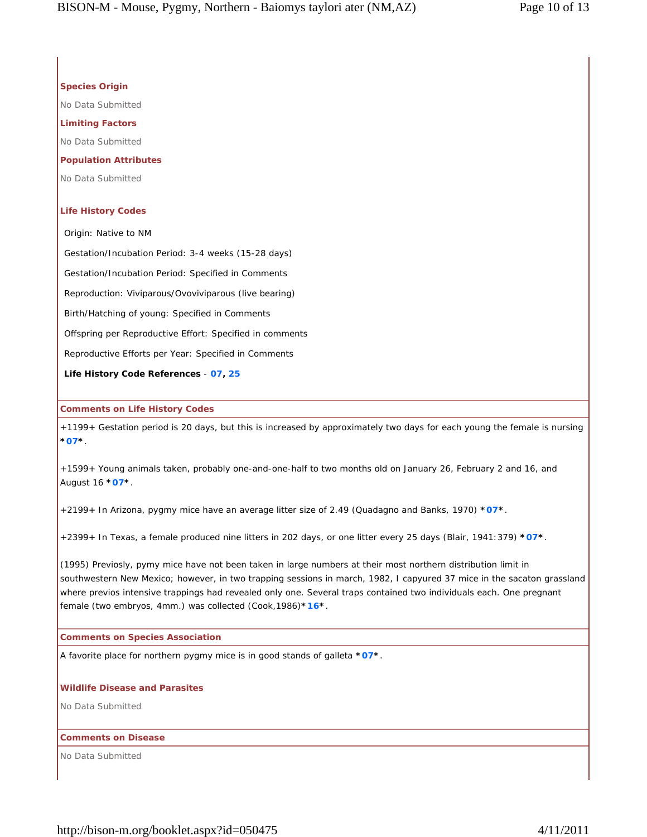## **Species Origin**

No Data Submitted

#### **Limiting Factors**

No Data Submitted

## **Population Attributes**

No Data Submitted

#### **Life History Codes**

Origin: Native to NM

Gestation/Incubation Period: 3-4 weeks (15-28 days)

Gestation/Incubation Period: Specified in Comments

Reproduction: Viviparous/Ovoviviparous (live bearing)

Birth/Hatching of young: Specified in Comments

Offspring per Reproductive Effort: Specified in comments

Reproductive Efforts per Year: Specified in Comments

**Life History Code References** - **07, 25**

#### **Comments on Life History Codes**

+1199+ Gestation period is 20 days, but this is increased by approximately two days for each young the female is nursing **\*07\***.

+1599+ Young animals taken, probably one-and-one-half to two months old on January 26, February 2 and 16, and August 16 **\*07\***.

+2199+ In Arizona, pygmy mice have an average litter size of 2.49 (Quadagno and Banks, 1970) **\*07\***.

+2399+ In Texas, a female produced nine litters in 202 days, or one litter every 25 days (Blair, 1941:379) **\*07\***.

(1995) Previosly, pymy mice have not been taken in large numbers at their most northern distribution limit in southwestern New Mexico; however, in two trapping sessions in march, 1982, I capyured 37 mice in the sacaton grassland where previos intensive trappings had revealed only one. Several traps contained two individuals each. One pregnant female (two embryos, 4mm.) was collected (Cook,1986)**\*16\***.

#### **Comments on Species Association**

A favorite place for northern pygmy mice is in good stands of galleta **\*07\***.

## **Wildlife Disease and Parasites**

No Data Submitted

## **Comments on Disease**

No Data Submitted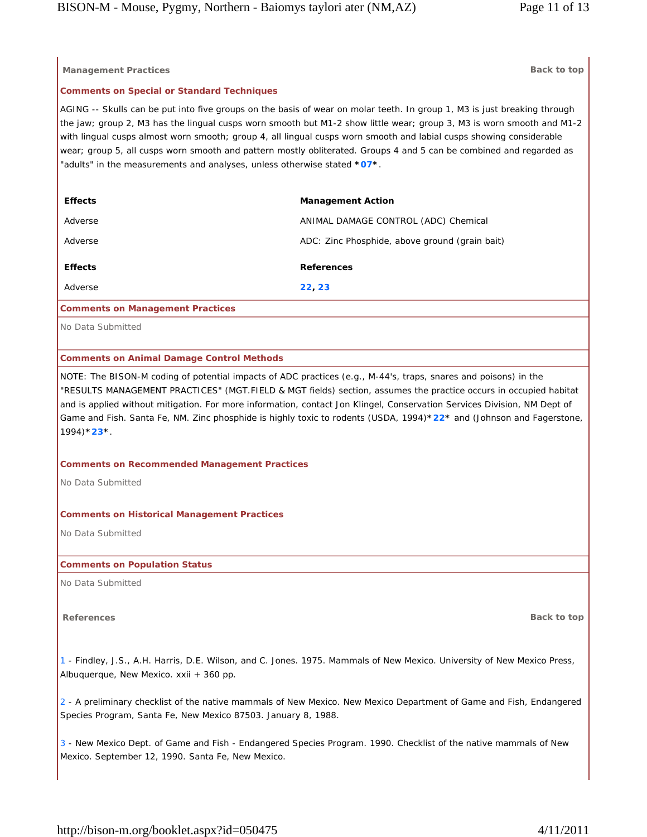| <b>Management Practices</b>                                                                                                                                                                                                                                                                                                                                                                                                                                                                                                                                                 | Back to top                                    |
|-----------------------------------------------------------------------------------------------------------------------------------------------------------------------------------------------------------------------------------------------------------------------------------------------------------------------------------------------------------------------------------------------------------------------------------------------------------------------------------------------------------------------------------------------------------------------------|------------------------------------------------|
| <b>Comments on Special or Standard Techniques</b>                                                                                                                                                                                                                                                                                                                                                                                                                                                                                                                           |                                                |
| AGING -- Skulls can be put into five groups on the basis of wear on molar teeth. In group 1, M3 is just breaking through<br>the jaw; group 2, M3 has the lingual cusps worn smooth but M1-2 show little wear; group 3, M3 is worn smooth and M1-2<br>with lingual cusps almost worn smooth; group 4, all lingual cusps worn smooth and labial cusps showing considerable<br>wear; group 5, all cusps worn smooth and pattern mostly obliterated. Groups 4 and 5 can be combined and regarded as<br>"adults" in the measurements and analyses, unless otherwise stated *07*. |                                                |
| <b>Effects</b>                                                                                                                                                                                                                                                                                                                                                                                                                                                                                                                                                              | <b>Management Action</b>                       |
| Adverse                                                                                                                                                                                                                                                                                                                                                                                                                                                                                                                                                                     | ANIMAL DAMAGE CONTROL (ADC) Chemical           |
| Adverse                                                                                                                                                                                                                                                                                                                                                                                                                                                                                                                                                                     | ADC: Zinc Phosphide, above ground (grain bait) |
| <b>Effects</b>                                                                                                                                                                                                                                                                                                                                                                                                                                                                                                                                                              | <b>References</b>                              |
| Adverse                                                                                                                                                                                                                                                                                                                                                                                                                                                                                                                                                                     | 22, 23                                         |
| <b>Comments on Management Practices</b>                                                                                                                                                                                                                                                                                                                                                                                                                                                                                                                                     |                                                |
| No Data Submitted                                                                                                                                                                                                                                                                                                                                                                                                                                                                                                                                                           |                                                |
| <b>Comments on Animal Damage Control Methods</b>                                                                                                                                                                                                                                                                                                                                                                                                                                                                                                                            |                                                |
| "RESULTS MANAGEMENT PRACTICES" (MGT.FIELD & MGT fields) section, assumes the practice occurs in occupied habitat<br>and is applied without mitigation. For more information, contact Jon Klingel, Conservation Services Division, NM Dept of<br>Game and Fish. Santa Fe, NM. Zinc phosphide is highly toxic to rodents (USDA, 1994)*22* and (Johnson and Fagerstone,<br>$1994$ <sup>*</sup> 23 <sup>*</sup>                                                                                                                                                                 |                                                |
| <b>Comments on Recommended Management Practices</b>                                                                                                                                                                                                                                                                                                                                                                                                                                                                                                                         |                                                |
| No Data Submitted                                                                                                                                                                                                                                                                                                                                                                                                                                                                                                                                                           |                                                |
| <b>Comments on Historical Management Practices</b>                                                                                                                                                                                                                                                                                                                                                                                                                                                                                                                          |                                                |
| No Data Submitted                                                                                                                                                                                                                                                                                                                                                                                                                                                                                                                                                           |                                                |
| <b>Comments on Population Status</b>                                                                                                                                                                                                                                                                                                                                                                                                                                                                                                                                        |                                                |
| No Data Submitted                                                                                                                                                                                                                                                                                                                                                                                                                                                                                                                                                           |                                                |
| <b>References</b>                                                                                                                                                                                                                                                                                                                                                                                                                                                                                                                                                           | Back to top                                    |
|                                                                                                                                                                                                                                                                                                                                                                                                                                                                                                                                                                             |                                                |
| 1 - Findley, J.S., A.H. Harris, D.E. Wilson, and C. Jones. 1975. Mammals of New Mexico. University of New Mexico Press,<br>Albuquerque, New Mexico. xxii + 360 pp.                                                                                                                                                                                                                                                                                                                                                                                                          |                                                |
| 2 - A preliminary checklist of the native mammals of New Mexico. New Mexico Department of Game and Fish, Endangered<br>Species Program, Santa Fe, New Mexico 87503. January 8, 1988.                                                                                                                                                                                                                                                                                                                                                                                        |                                                |
| 3 - New Mexico Dept. of Game and Fish - Endangered Species Program. 1990. Checklist of the native mammals of New<br>Mexico. September 12, 1990. Santa Fe, New Mexico.                                                                                                                                                                                                                                                                                                                                                                                                       |                                                |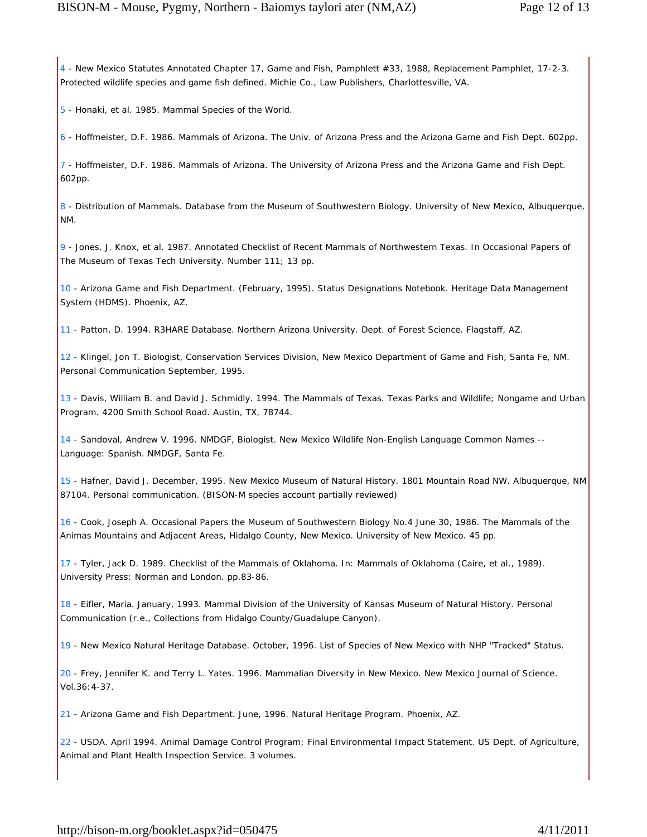4 - New Mexico Statutes Annotated Chapter 17, Game and Fish, Pamphlett #33, 1988, Replacement Pamphlet, 17-2-3. Protected wildlife species and game fish defined. Michie Co., Law Publishers, Charlottesville, VA.

5 - Honaki, et al. 1985. Mammal Species of the World.

6 - Hoffmeister, D.F. 1986. Mammals of Arizona. The Univ. of Arizona Press and the Arizona Game and Fish Dept. 602pp.

7 - Hoffmeister, D.F. 1986. Mammals of Arizona. The University of Arizona Press and the Arizona Game and Fish Dept. 602pp.

8 - Distribution of Mammals. Database from the Museum of Southwestern Biology. University of New Mexico, Albuquerque, NM.

9 - Jones, J. Knox, et al. 1987. Annotated Checklist of Recent Mammals of Northwestern Texas. In Occasional Papers of The Museum of Texas Tech University. Number 111; 13 pp.

10 - Arizona Game and Fish Department. (February, 1995). Status Designations Notebook. Heritage Data Management System (HDMS). Phoenix, AZ.

11 - Patton, D. 1994. R3HARE Database. Northern Arizona University. Dept. of Forest Science. Flagstaff, AZ.

12 - Klingel, Jon T. Biologist, Conservation Services Division, New Mexico Department of Game and Fish, Santa Fe, NM. Personal Communication September, 1995.

13 - Davis, William B. and David J. Schmidly. 1994. The Mammals of Texas. Texas Parks and Wildlife; Nongame and Urban Program. 4200 Smith School Road. Austin, TX, 78744.

14 - Sandoval, Andrew V. 1996. NMDGF, Biologist. New Mexico Wildlife Non-English Language Common Names -- Language: Spanish. NMDGF, Santa Fe.

15 - Hafner, David J. December, 1995. New Mexico Museum of Natural History. 1801 Mountain Road NW. Albuquerque, NM 87104. Personal communication. (BISON-M species account partially reviewed)

16 - Cook, Joseph A. Occasional Papers the Museum of Southwestern Biology No.4 June 30, 1986. The Mammals of the Animas Mountains and Adjacent Areas, Hidalgo County, New Mexico. University of New Mexico. 45 pp.

17 - Tyler, Jack D. 1989. Checklist of the Mammals of Oklahoma. In: Mammals of Oklahoma (Caire, et al., 1989). University Press: Norman and London. pp.83-86.

18 - Eifler, Maria. January, 1993. Mammal Division of the University of Kansas Museum of Natural History. Personal Communication (r.e., Collections from Hidalgo County/Guadalupe Canyon).

19 - New Mexico Natural Heritage Database. October, 1996. List of Species of New Mexico with NHP "Tracked" Status.

20 - Frey, Jennifer K. and Terry L. Yates. 1996. Mammalian Diversity in New Mexico. New Mexico Journal of Science. Vol.36:4-37.

21 - Arizona Game and Fish Department. June, 1996. Natural Heritage Program. Phoenix, AZ.

22 - USDA. April 1994. Animal Damage Control Program; Final Environmental Impact Statement. US Dept. of Agriculture, Animal and Plant Health Inspection Service. 3 volumes.